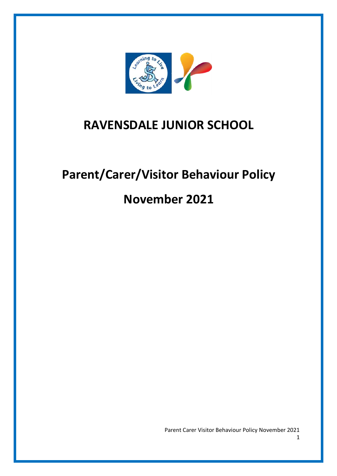

## **RAVENSDALE JUNIOR SCHOOL**

# **Parent/Carer/Visitor Behaviour Policy**

## **November 2021**

Parent Carer Visitor Behaviour Policy November 2021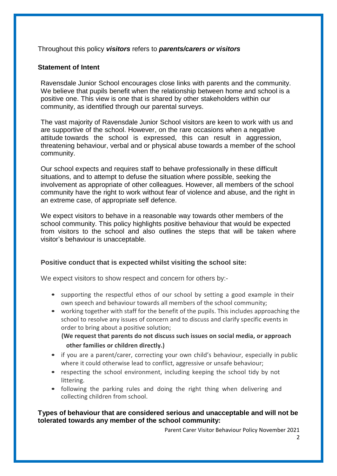Throughout this policy *visitors* refers to *parents/carers or visitors*

#### **Statement of Intent**

Ravensdale Junior School encourages close links with parents and the community. We believe that pupils benefit when the relationship between home and school is a positive one. This view is one that is shared by other stakeholders within our community, as identified through our parental surveys.

The vast majority of Ravensdale Junior School visitors are keen to work with us and are supportive of the school. However, on the rare occasions when a negative attitude towards the school is expressed, this can result in aggression, threatening behaviour, verbal and or physical abuse towards a member of the school community.

Our school expects and requires staff to behave professionally in these difficult situations, and to attempt to defuse the situation where possible, seeking the involvement as appropriate of other colleagues. However, all members of the school community have the right to work without fear of violence and abuse, and the right in an extreme case, of appropriate self defence.

We expect visitors to behave in a reasonable way towards other members of the school community. This policy highlights positive behaviour that would be expected from visitors to the school and also outlines the steps that will be taken where visitor's behaviour is unacceptable.

#### **Positive conduct that is expected whilst visiting the school site:**

We expect visitors to show respect and concern for others by:-

- supporting the respectful ethos of our school by setting a good example in their own speech and behaviour towards all members of the school community;
- working together with staff for the benefit of the pupils. This includes approaching the school to resolve any issues of concern and to discuss and clarify specific events in order to bring about a positive solution;

 **(We request that parents do not discuss such issues on social media, or approach other families or children directly.)**

- if you are a parent/carer, correcting your own child's behaviour, especially in public where it could otherwise lead to conflict, aggressive or unsafe behaviour;
- respecting the school environment, including keeping the school tidy by not littering.
- following the parking rules and doing the right thing when delivering and collecting children from school.

### **Types of behaviour that are considered serious and unacceptable and will not be tolerated towards any member of the school community:**

Parent Carer Visitor Behaviour Policy November 2021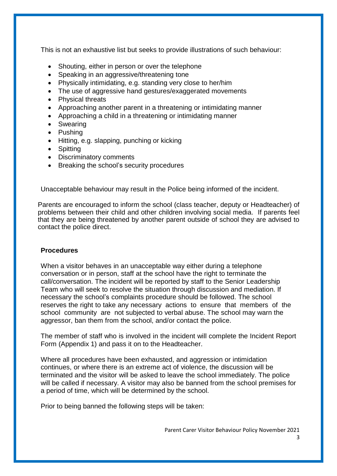This is not an exhaustive list but seeks to provide illustrations of such behaviour:

- Shouting, either in person or over the telephone
- Speaking in an aggressive/threatening tone
- Physically intimidating, e.g. standing very close to her/him
- The use of aggressive hand gestures/exaggerated movements
- Physical threats
- Approaching another parent in a threatening or intimidating manner
- Approaching a child in a threatening or intimidating manner
- Swearing
- Pushing
- Hitting, e.g. slapping, punching or kicking
- Spitting
- Discriminatory comments
- Breaking the school's security procedures

Unacceptable behaviour may result in the Police being informed of the incident.

Parents are encouraged to inform the school (class teacher, deputy or Headteacher) of problems between their child and other children involving social media. If parents feel that they are being threatened by another parent outside of school they are advised to contact the police direct.

#### **Procedures**

When a visitor behaves in an unacceptable way either during a telephone conversation or in person, staff at the school have the right to terminate the call/conversation. The incident will be reported by staff to the Senior Leadership Team who will seek to resolve the situation through discussion and mediation. If necessary the school's complaints procedure should be followed. The school reserves the right to take any necessary actions to ensure that members of the school community are not subjected to verbal abuse. The school may warn the aggressor, ban them from the school, and/or contact the police.

The member of staff who is involved in the incident will complete the Incident Report Form (Appendix 1) and pass it on to the Headteacher.

Where all procedures have been exhausted, and aggression or intimidation continues, or where there is an extreme act of violence, the discussion will be terminated and the visitor will be asked to leave the school immediately. The police will be called if necessary. A visitor may also be banned from the school premises for a period of time, which will be determined by the school.

Prior to being banned the following steps will be taken: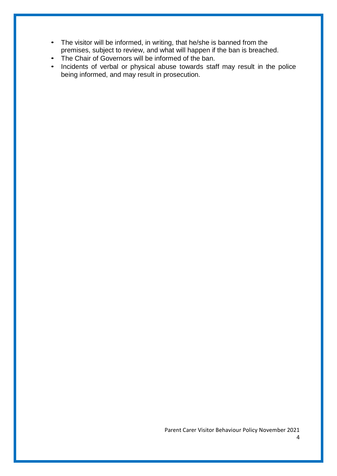- The visitor will be informed, in writing, that he/she is banned from the premises, subject to review, and what will happen if the ban is breached.
- The Chair of Governors will be informed of the ban.<br>• Incidents of verbal or physical abuse towards state
- Incidents of verbal or physical abuse towards staff may result in the police being informed, and may result in prosecution.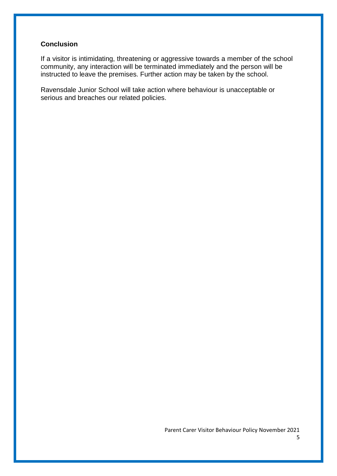#### **Conclusion**

If a visitor is intimidating, threatening or aggressive towards a member of the school community, any interaction will be terminated immediately and the person will be instructed to leave the premises. Further action may be taken by the school.

Ravensdale Junior School will take action where behaviour is unacceptable or serious and breaches our related policies.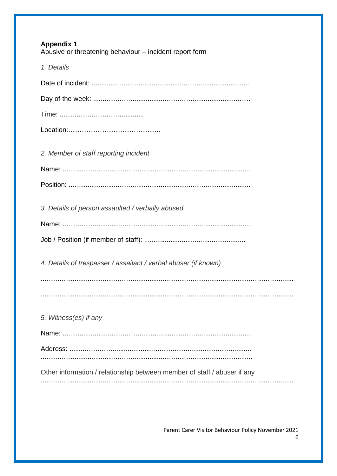| <b>Appendix 1</b><br>Abusive or threatening behaviour - incident report form |
|------------------------------------------------------------------------------|
| 1. Details                                                                   |
|                                                                              |
|                                                                              |
|                                                                              |
|                                                                              |
| 2. Member of staff reporting incident                                        |
|                                                                              |
|                                                                              |
| 3. Details of person assaulted / verbally abused                             |
|                                                                              |
|                                                                              |
| 4. Details of trespasser / assailant / verbal abuser (if known)              |
|                                                                              |
|                                                                              |
| 5. Witness(es) if any                                                        |
|                                                                              |
|                                                                              |
| Other information / relationship between member of staff / abuser if any     |

Parent Carer Visitor Behaviour Policy November 2021